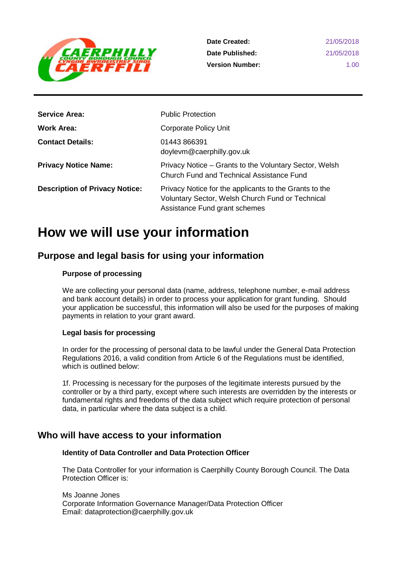

| <b>Service Area:</b>                  | <b>Public Protection</b>                                                                                                                    |
|---------------------------------------|---------------------------------------------------------------------------------------------------------------------------------------------|
| <b>Work Area:</b>                     | <b>Corporate Policy Unit</b>                                                                                                                |
| <b>Contact Details:</b>               | 01443 866391<br>doylevm@caerphilly.gov.uk                                                                                                   |
| <b>Privacy Notice Name:</b>           | Privacy Notice – Grants to the Voluntary Sector, Welsh<br><b>Church Fund and Technical Assistance Fund</b>                                  |
| <b>Description of Privacy Notice:</b> | Privacy Notice for the applicants to the Grants to the<br>Voluntary Sector, Welsh Church Fund or Technical<br>Assistance Fund grant schemes |

# **How we will use your information**

# **Purpose and legal basis for using your information**

## **Purpose of processing**

We are collecting your personal data (name, address, telephone number, e-mail address and bank account details) in order to process your application for grant funding. Should your application be successful, this information will also be used for the purposes of making payments in relation to your grant award.

### **Legal basis for processing**

In order for the processing of personal data to be lawful under the General Data Protection Regulations 2016, a valid condition from Article 6 of the Regulations must be identified, which is outlined below:

1f. Processing is necessary for the purposes of the legitimate interests pursued by the controller or by a third party, except where such interests are overridden by the interests or fundamental rights and freedoms of the data subject which require protection of personal data, in particular where the data subject is a child.

# **Who will have access to your information**

### **Identity of Data Controller and Data Protection Officer**

The Data Controller for your information is Caerphilly County Borough Council. The Data Protection Officer is:

Ms Joanne Jones Corporate Information Governance Manager/Data Protection Officer Email: dataprotection@caerphilly.gov.uk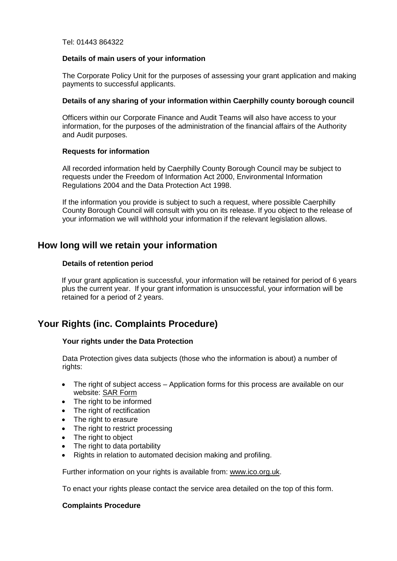Tel: 01443 864322

#### **Details of main users of your information**

The Corporate Policy Unit for the purposes of assessing your grant application and making payments to successful applicants.

#### **Details of any sharing of your information within Caerphilly county borough council**

Officers within our Corporate Finance and Audit Teams will also have access to your information, for the purposes of the administration of the financial affairs of the Authority and Audit purposes.

### **Requests for information**

All recorded information held by Caerphilly County Borough Council may be subject to requests under the Freedom of Information Act 2000, Environmental Information Regulations 2004 and the Data Protection Act 1998.

If the information you provide is subject to such a request, where possible Caerphilly County Borough Council will consult with you on its release. If you object to the release of your information we will withhold your information if the relevant legislation allows.

# **How long will we retain your information**

#### **Details of retention period**

If your grant application is successful, your information will be retained for period of 6 years plus the current year. If your grant information is unsuccessful, your information will be retained for a period of 2 years.

# **Your Rights (inc. Complaints Procedure)**

### **Your rights under the Data Protection**

Data Protection gives data subjects (those who the information is about) a number of rights:

- The right of subject access Application forms for this process are available on our website: [SAR Form](http://www.caerphilly.gov.uk/CaerphillyDocs/Council-and-democracy/sar_form.aspx)
- The right to be informed
- The right of rectification
- The right to erasure
- The right to restrict processing
- The right to object
- The right to data portability
- Rights in relation to automated decision making and profiling.

Further information on your rights is available from: [www.ico.org.uk.](http://www.ico.org.uk/)

To enact your rights please contact the service area detailed on the top of this form.

#### **Complaints Procedure**